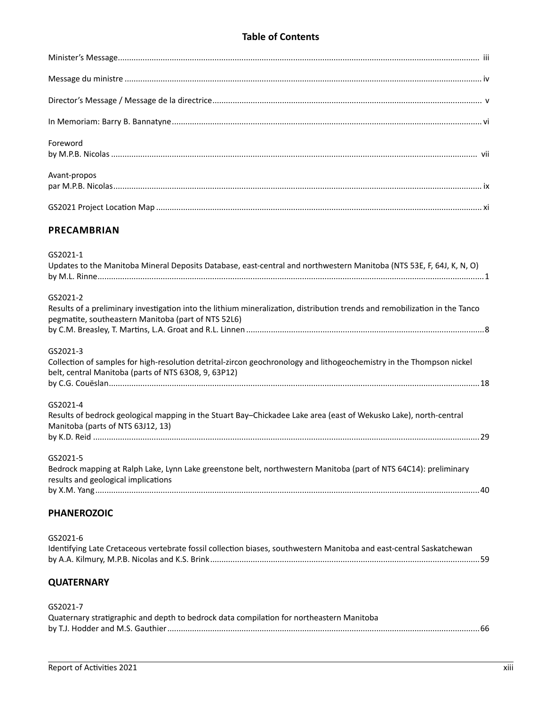## **Table of Contents**

| Foreword     |  |
|--------------|--|
| Avant-propos |  |
|              |  |

## **PRECAMBRIAN**

| GS2021-1                                                                                                                                                                           |  |
|------------------------------------------------------------------------------------------------------------------------------------------------------------------------------------|--|
| Updates to the Manitoba Mineral Deposits Database, east-central and northwestern Manitoba (NTS 53E, F, 64J, K, N, O)                                                               |  |
|                                                                                                                                                                                    |  |
| GS2021-2                                                                                                                                                                           |  |
| Results of a preliminary investigation into the lithium mineralization, distribution trends and remobilization in the Tanco<br>pegmatite, southeastern Manitoba (part of NTS 52L6) |  |
|                                                                                                                                                                                    |  |
| GS2021-3                                                                                                                                                                           |  |
| Collection of samples for high-resolution detrital-zircon geochronology and lithogeochemistry in the Thompson nickel<br>belt, central Manitoba (parts of NTS 6308, 9, 63P12)       |  |
|                                                                                                                                                                                    |  |
| GS2021-4                                                                                                                                                                           |  |
| Results of bedrock geological mapping in the Stuart Bay-Chickadee Lake area (east of Wekusko Lake), north-central<br>Manitoba (parts of NTS 63J12, 13)                             |  |
|                                                                                                                                                                                    |  |
| GS2021-5                                                                                                                                                                           |  |
| Bedrock mapping at Ralph Lake, Lynn Lake greenstone belt, northwestern Manitoba (part of NTS 64C14): preliminary<br>results and geological implications                            |  |
|                                                                                                                                                                                    |  |
| <b>PHANEROZOIC</b>                                                                                                                                                                 |  |
| GS2021-6                                                                                                                                                                           |  |

Identifying Late Cretaceous vertebrate fossil collection biases, southwestern Manitoba and east-central Saskatchewan by A.A. Kilmury, M.P.B. Nicolas and K.S. Brink........................................................................................................................59

## **QUATERNARY**

GS2021-7

| Quaternary stratigraphic and depth to bedrock data compilation for northeastern Manitoba |  |
|------------------------------------------------------------------------------------------|--|
|                                                                                          |  |